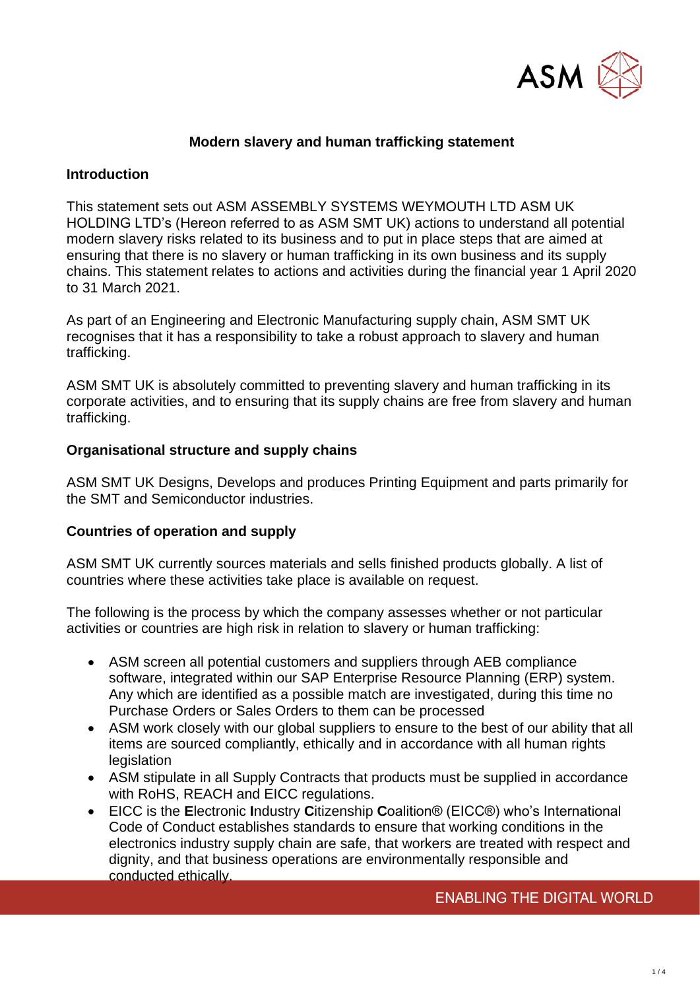

# **Modern slavery and human trafficking statement**

#### **Introduction**

This statement sets out ASM ASSEMBLY SYSTEMS WEYMOUTH LTD ASM UK HOLDING LTD's (Hereon referred to as ASM SMT UK) actions to understand all potential modern slavery risks related to its business and to put in place steps that are aimed at ensuring that there is no slavery or human trafficking in its own business and its supply chains. This statement relates to actions and activities during the financial year 1 April 2020 to 31 March 2021.

As part of an Engineering and Electronic Manufacturing supply chain, ASM SMT UK recognises that it has a responsibility to take a robust approach to slavery and human trafficking.

ASM SMT UK is absolutely committed to preventing slavery and human trafficking in its corporate activities, and to ensuring that its supply chains are free from slavery and human trafficking.

#### **Organisational structure and supply chains**

ASM SMT UK Designs, Develops and produces Printing Equipment and parts primarily for the SMT and Semiconductor industries.

#### **Countries of operation and supply**

ASM SMT UK currently sources materials and sells finished products globally. A list of countries where these activities take place is available on request.

The following is the process by which the company assesses whether or not particular activities or countries are high risk in relation to slavery or human trafficking:

- ASM screen all potential customers and suppliers through AEB compliance software, integrated within our SAP Enterprise Resource Planning (ERP) system. Any which are identified as a possible match are investigated, during this time no Purchase Orders or Sales Orders to them can be processed
- ASM work closely with our global suppliers to ensure to the best of our ability that all items are sourced compliantly, ethically and in accordance with all human rights legislation
- ASM stipulate in all Supply Contracts that products must be supplied in accordance with RoHS, REACH and EICC regulations.
- EICC is the **E**lectronic **I**ndustry **C**itizenship **C**oalition® (EICC®) who's International Code of Conduct establishes standards to ensure that working conditions in the electronics industry supply chain are safe, that workers are treated with respect and dignity, and that business operations are environmentally responsible and conducted ethically.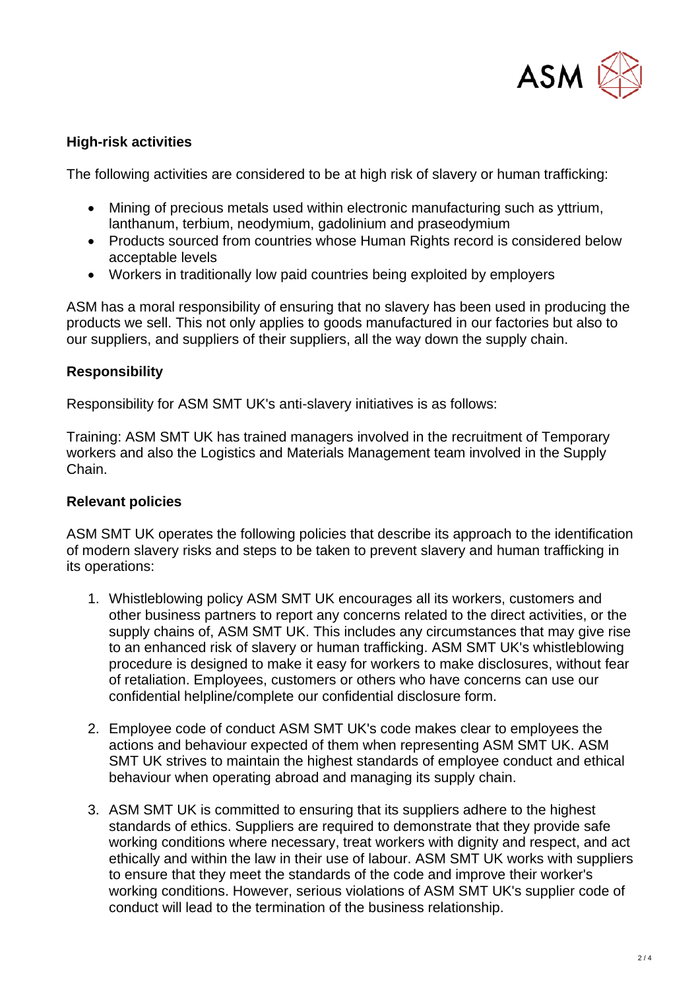

# **High-risk activities**

The following activities are considered to be at high risk of slavery or human trafficking:

- Mining of precious metals used within electronic manufacturing such as yttrium, lanthanum, terbium, neodymium, gadolinium and praseodymium
- Products sourced from countries whose Human Rights record is considered below acceptable levels
- Workers in traditionally low paid countries being exploited by employers

ASM has a moral responsibility of ensuring that no slavery has been used in producing the products we sell. This not only applies to goods manufactured in our factories but also to our suppliers, and suppliers of their suppliers, all the way down the supply chain.

# **Responsibility**

Responsibility for ASM SMT UK's anti-slavery initiatives is as follows:

Training: ASM SMT UK has trained managers involved in the recruitment of Temporary workers and also the Logistics and Materials Management team involved in the Supply Chain.

### **Relevant policies**

ASM SMT UK operates the following policies that describe its approach to the identification of modern slavery risks and steps to be taken to prevent slavery and human trafficking in its operations:

- 1. Whistleblowing policy ASM SMT UK encourages all its workers, customers and other business partners to report any concerns related to the direct activities, or the supply chains of, ASM SMT UK. This includes any circumstances that may give rise to an enhanced risk of slavery or human trafficking. ASM SMT UK's whistleblowing procedure is designed to make it easy for workers to make disclosures, without fear of retaliation. Employees, customers or others who have concerns can use our confidential helpline/complete our confidential disclosure form.
- 2. Employee code of conduct ASM SMT UK's code makes clear to employees the actions and behaviour expected of them when representing ASM SMT UK. ASM SMT UK strives to maintain the highest standards of employee conduct and ethical behaviour when operating abroad and managing its supply chain.
- 3. ASM SMT UK is committed to ensuring that its suppliers adhere to the highest standards of ethics. Suppliers are required to demonstrate that they provide safe working conditions where necessary, treat workers with dignity and respect, and act ethically and within the law in their use of labour. ASM SMT UK works with suppliers to ensure that they meet the standards of the code and improve their worker's working conditions. However, serious violations of ASM SMT UK's supplier code of conduct will lead to the termination of the business relationship.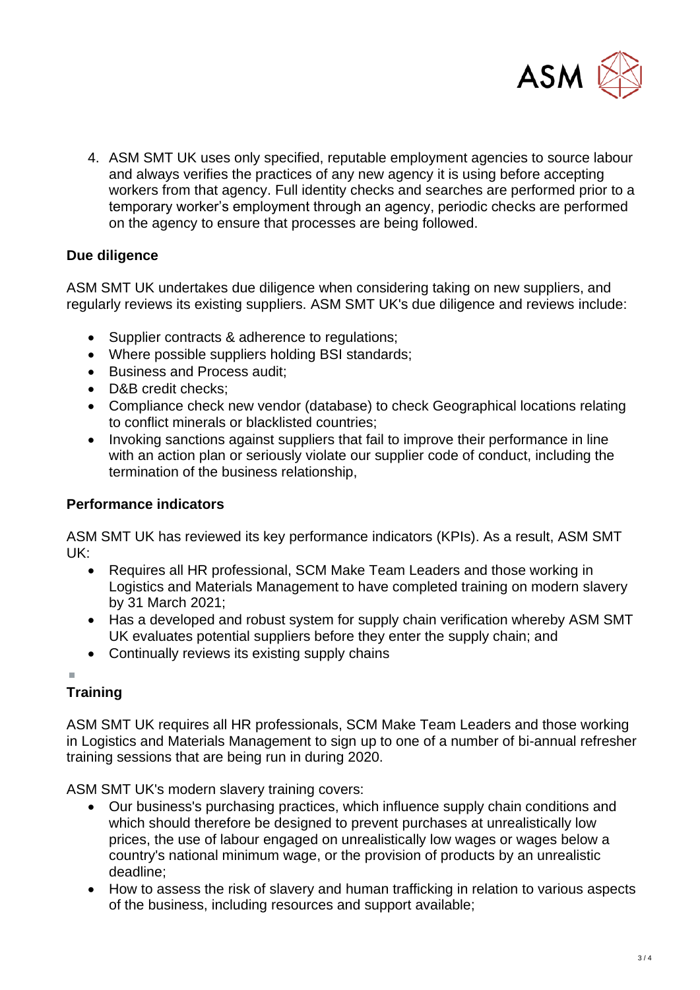

4. ASM SMT UK uses only specified, reputable employment agencies to source labour and always verifies the practices of any new agency it is using before accepting workers from that agency. Full identity checks and searches are performed prior to a temporary worker's employment through an agency, periodic checks are performed on the agency to ensure that processes are being followed.

# **Due diligence**

ASM SMT UK undertakes due diligence when considering taking on new suppliers, and regularly reviews its existing suppliers. ASM SMT UK's due diligence and reviews include:

- Supplier contracts & adherence to regulations;
- Where possible suppliers holding BSI standards;
- Business and Process audit;
- D&B credit checks:
- Compliance check new vendor (database) to check Geographical locations relating to conflict minerals or blacklisted countries;
- Invoking sanctions against suppliers that fail to improve their performance in line with an action plan or seriously violate our supplier code of conduct, including the termination of the business relationship,

# **Performance indicators**

ASM SMT UK has reviewed its key performance indicators (KPIs). As a result, ASM SMT UK:

- Requires all HR professional, SCM Make Team Leaders and those working in Logistics and Materials Management to have completed training on modern slavery by 31 March 2021;
- Has a developed and robust system for supply chain verification whereby ASM SMT UK evaluates potential suppliers before they enter the supply chain; and
- Continually reviews its existing supply chains

# **Training**

ASM SMT UK requires all HR professionals, SCM Make Team Leaders and those working in Logistics and Materials Management to sign up to one of a number of bi-annual refresher training sessions that are being run in during 2020.

ASM SMT UK's modern slavery training covers:

- Our business's purchasing practices, which influence supply chain conditions and which should therefore be designed to prevent purchases at unrealistically low prices, the use of labour engaged on unrealistically low wages or wages below a country's national minimum wage, or the provision of products by an unrealistic deadline;
- How to assess the risk of slavery and human trafficking in relation to various aspects of the business, including resources and support available;